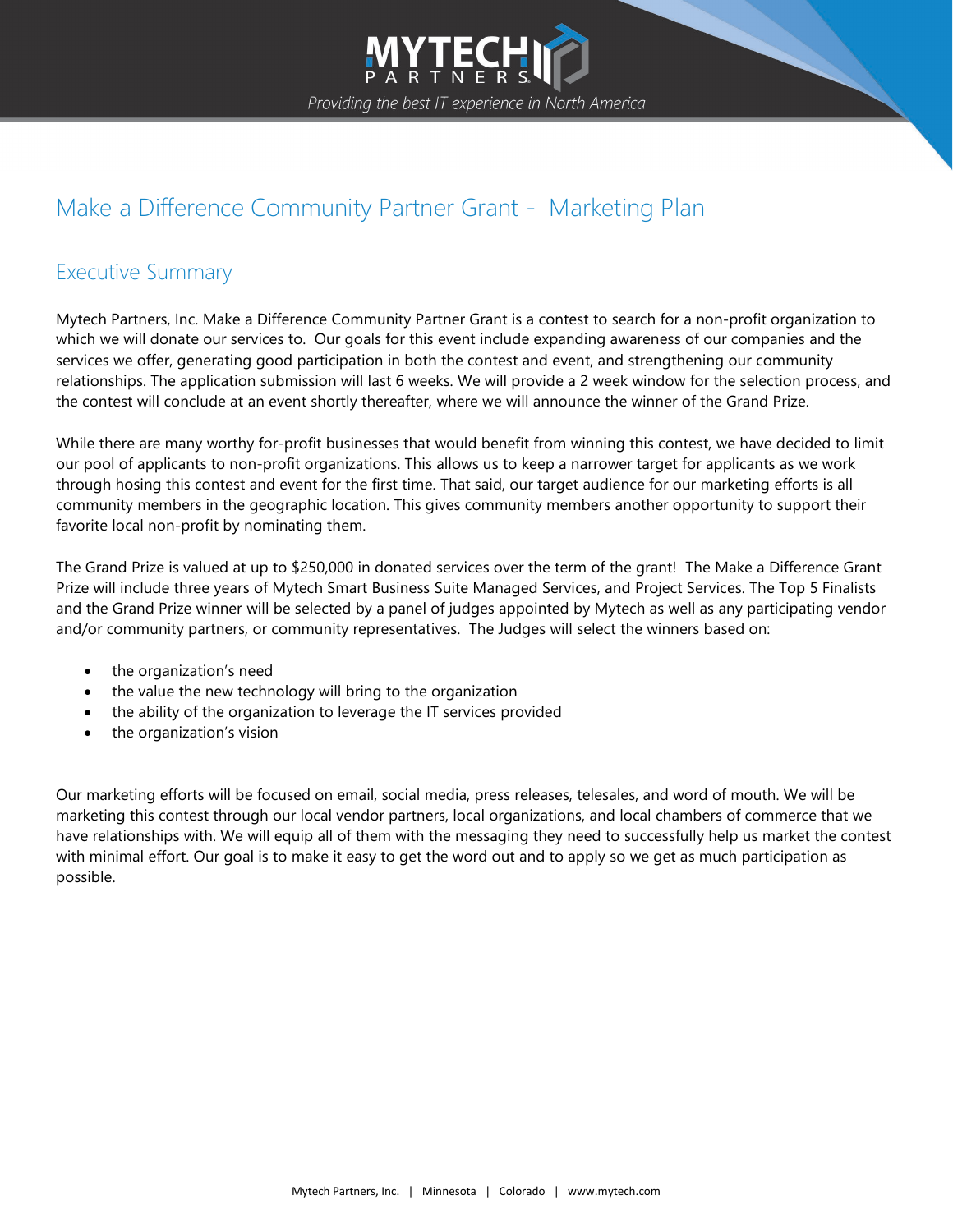

## Make a Difference Community Partner Grant - Marketing Plan

## Executive Summary

Mytech Partners, Inc. Make a Difference Community Partner Grant is a contest to search for a non-profit organization to which we will donate our services to. Our goals for this event include expanding awareness of our companies and the services we offer, generating good participation in both the contest and event, and strengthening our community relationships. The application submission will last 6 weeks. We will provide a 2 week window for the selection process, and the contest will conclude at an event shortly thereafter, where we will announce the winner of the Grand Prize.

While there are many worthy for-profit businesses that would benefit from winning this contest, we have decided to limit our pool of applicants to non-profit organizations. This allows us to keep a narrower target for applicants as we work through hosing this contest and event for the first time. That said, our target audience for our marketing efforts is all community members in the geographic location. This gives community members another opportunity to support their favorite local non-profit by nominating them.

The Grand Prize is valued at up to \$250,000 in donated services over the term of the grant! The Make a Difference Grant Prize will include three years of [Mytech Smart Business Suite Managed Services,](https://mytech.com/managed-it-services/) and [Project Services.](https://mytech.com/project-migration-services/) The Top 5 Finalists and the Grand Prize winner will be selected by a panel of judges appointed by Mytech as well as any participating vendor and/or community partners, or community representatives. The Judges will select the winners based on:

- the organization's need
- the value the new technology will bring to the organization
- the ability of the organization to leverage the IT services provided
- the organization's vision

Our marketing efforts will be focused on email, social media, press releases, telesales, and word of mouth. We will be marketing this contest through our local vendor partners, local organizations, and local chambers of commerce that we have relationships with. We will equip all of them with the messaging they need to successfully help us market the contest with minimal effort. Our goal is to make it easy to get the word out and to apply so we get as much participation as possible.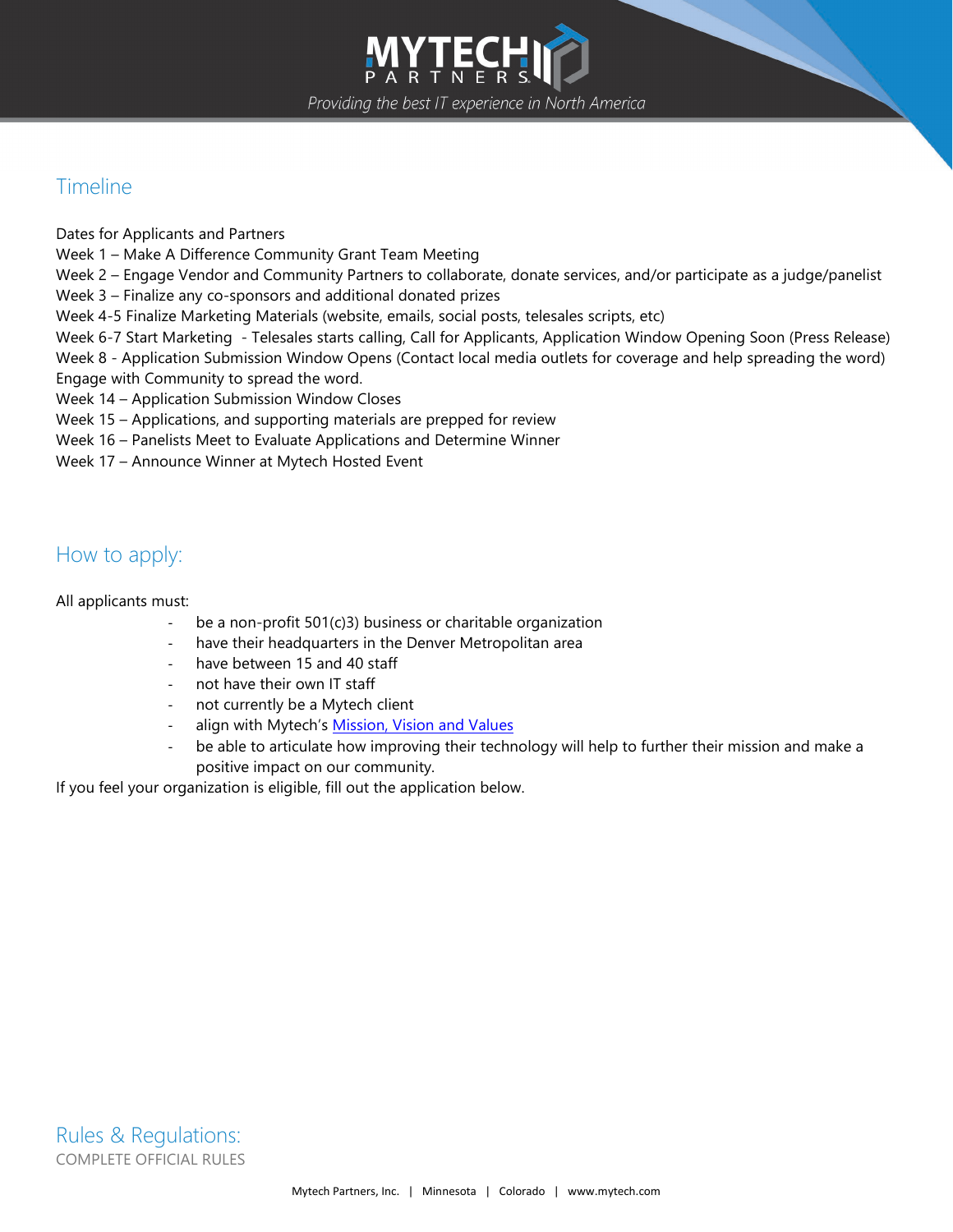

## Timeline

Dates for Applicants and Partners

Week 1 – Make A Difference Community Grant Team Meeting

Week 2 – Engage Vendor and Community Partners to collaborate, donate services, and/or participate as a judge/panelist

Week 3 – Finalize any co-sponsors and additional donated prizes

Week 4-5 Finalize Marketing Materials (website, emails, social posts, telesales scripts, etc)

Week 6-7 Start Marketing - Telesales starts calling, Call for Applicants, Application Window Opening Soon (Press Release)

Week 8 - Application Submission Window Opens (Contact local media outlets for coverage and help spreading the word) Engage with Community to spread the word.

Week 14 – Application Submission Window Closes

Week 15 – Applications, and supporting materials are prepped for review

Week 16 – Panelists Meet to Evaluate Applications and Determine Winner

Week 17 – Announce Winner at Mytech Hosted Event

## How to apply:

All applicants must:

- be a non-profit 501(c)3) business or charitable organization
- have their headquarters in the Denver Metropolitan area
- have between 15 and 40 staff
- not have their own IT staff
- not currently be a Mytech client
- align with Mytech's [Mission, Vision and Values](https://mytech.com/mission-vision-values/)
- be able to articulate how improving their technology will help to further their mission and make a positive impact on our community.

If you feel your organization is eligible, fill out the application below.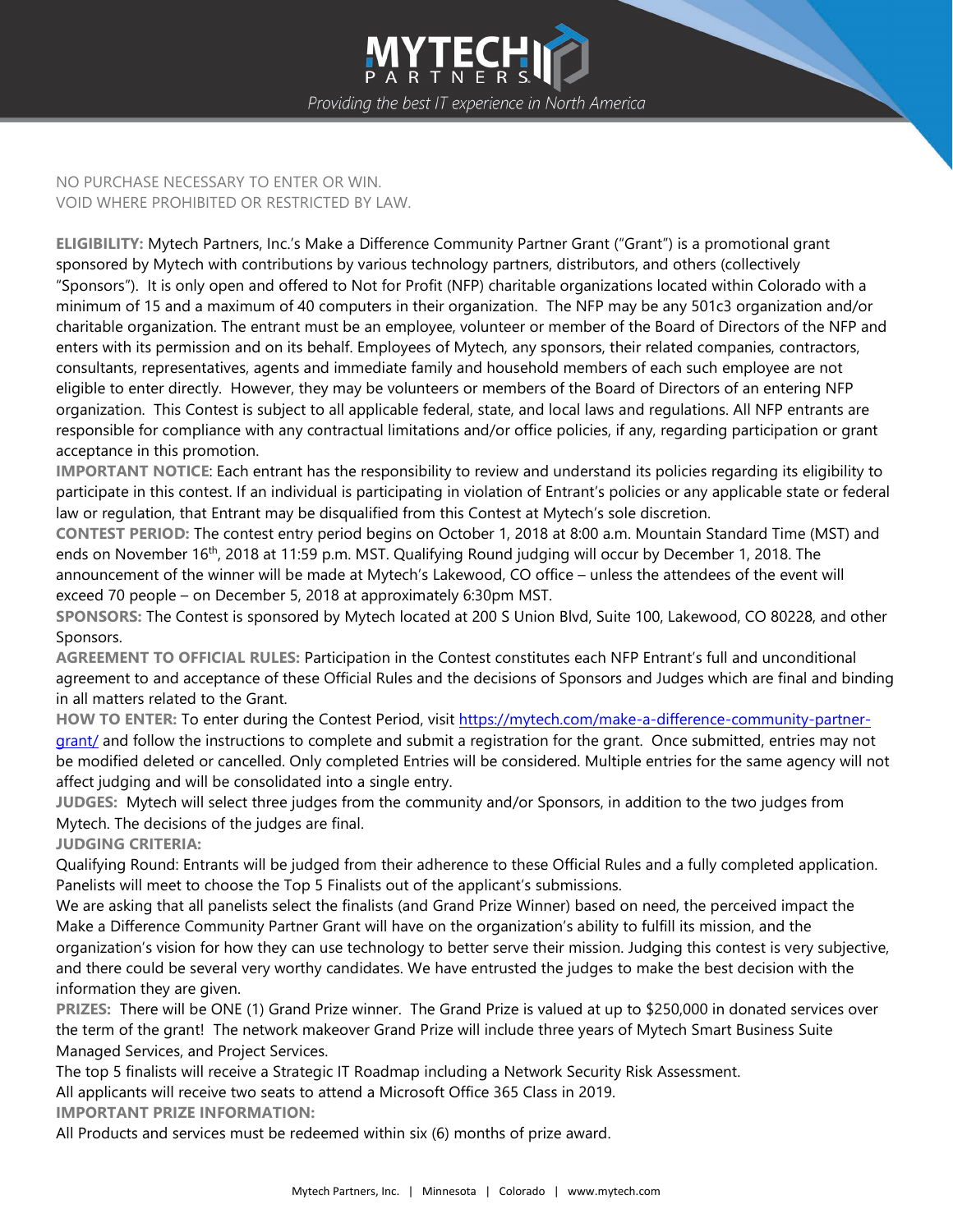

NO PURCHASE NECESSARY TO ENTER OR WIN. VOID WHERE PROHIBITED OR RESTRICTED BY LAW.

**ELIGIBILITY:** Mytech Partners, Inc.'s Make a Difference Community Partner Grant ("Grant") is a promotional grant sponsored by Mytech with contributions by various technology partners, distributors, and others (collectively "Sponsors"). It is only open and offered to Not for Profit (NFP) charitable organizations located within Colorado with a minimum of 15 and a maximum of 40 computers in their organization. The NFP may be any 501c3 organization and/or charitable organization. The entrant must be an employee, volunteer or member of the Board of Directors of the NFP and enters with its permission and on its behalf. Employees of Mytech, any sponsors, their related companies, contractors, consultants, representatives, agents and immediate family and household members of each such employee are not eligible to enter directly. However, they may be volunteers or members of the Board of Directors of an entering NFP organization. This Contest is subject to all applicable federal, state, and local laws and regulations. All NFP entrants are responsible for compliance with any contractual limitations and/or office policies, if any, regarding participation or grant acceptance in this promotion.

**IMPORTANT NOTICE**: Each entrant has the responsibility to review and understand its policies regarding its eligibility to participate in this contest. If an individual is participating in violation of Entrant's policies or any applicable state or federal law or regulation, that Entrant may be disqualified from this Contest at Mytech's sole discretion.

**CONTEST PERIOD:** The contest entry period begins on October 1, 2018 at 8:00 a.m. Mountain Standard Time (MST) and ends on November 16<sup>th</sup>, 2018 at 11:59 p.m. MST. Qualifying Round judging will occur by December 1, 2018. The announcement of the winner will be made at Mytech's Lakewood, CO office – unless the attendees of the event will exceed 70 people – on December 5, 2018 at approximately 6:30pm MST.

**SPONSORS:** The Contest is sponsored by Mytech located at 200 S Union Blvd, Suite 100, Lakewood, CO 80228, and other Sponsors.

**AGREEMENT TO OFFICIAL RULES:** Participation in the Contest constitutes each NFP Entrant's full and unconditional agreement to and acceptance of these Official Rules and the decisions of Sponsors and Judges which are final and binding in all matters related to the Grant.

**HOW TO ENTER:** To enter during the Contest Period, visit [https://mytech.com/make-a-difference-community-partner](https://mytech.com/make-a-difference-community-partner-grant/)[grant/](https://mytech.com/make-a-difference-community-partner-grant/) and follow the instructions to complete and submit a registration for the grant. Once submitted, entries may not be modified deleted or cancelled. Only completed Entries will be considered. Multiple entries for the same agency will not affect judging and will be consolidated into a single entry.

**JUDGES:** Mytech will select three judges from the community and/or Sponsors, in addition to the two judges from Mytech. The decisions of the judges are final.

**JUDGING CRITERIA:**

Qualifying Round: Entrants will be judged from their adherence to these Official Rules and a fully completed application. Panelists will meet to choose the Top 5 Finalists out of the applicant's submissions.

We are asking that all panelists select the finalists (and Grand Prize Winner) based on need, the perceived impact the Make a Difference Community Partner Grant will have on the organization's ability to fulfill its mission, and the organization's vision for how they can use technology to better serve their mission. Judging this contest is very subjective, and there could be several very worthy candidates. We have entrusted the judges to make the best decision with the information they are given.

**PRIZES:** There will be ONE (1) Grand Prize winner. The Grand Prize is valued at up to \$250,000 in donated services over the term of the grant! The network makeover Grand Prize will include three years of Mytech Smart Business Suite Managed Services, and Project Services.

The top 5 finalists will receive a Strategic IT Roadmap including a Network Security Risk Assessment.

All applicants will receive two seats to attend a Microsoft Office 365 Class in 2019.

**IMPORTANT PRIZE INFORMATION:**

All Products and services must be redeemed within six (6) months of prize award.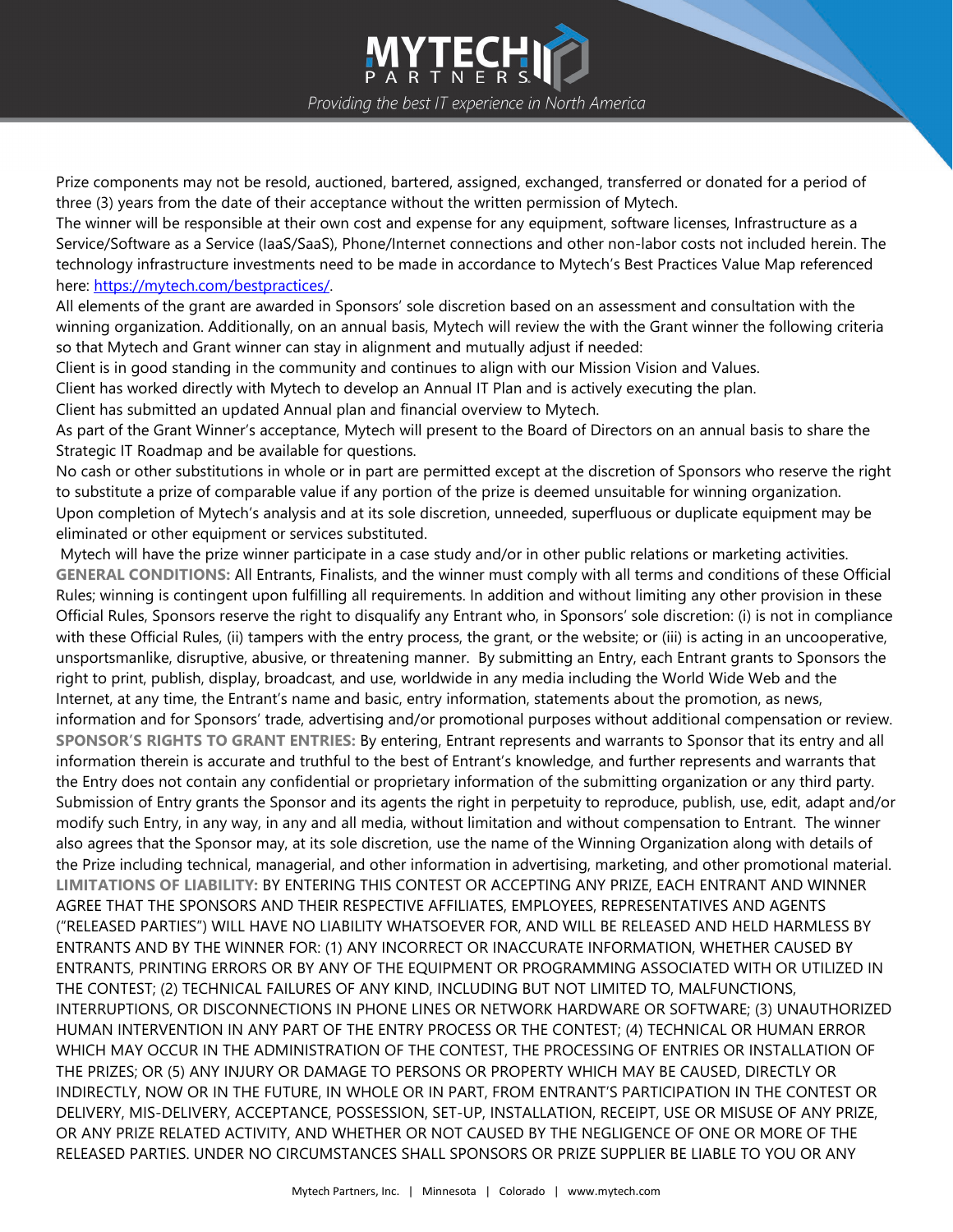Providing the best IT experience in North America

LY LEC

Prize components may not be resold, auctioned, bartered, assigned, exchanged, transferred or donated for a period of three (3) years from the date of their acceptance without the written permission of Mytech.

The winner will be responsible at their own cost and expense for any equipment, software licenses, Infrastructure as a Service/Software as a Service (IaaS/SaaS), Phone/Internet connections and other non-labor costs not included herein. The technology infrastructure investments need to be made in accordance to Mytech's Best Practices Value Map referenced here: [https://mytech.com/bestpractices/.](https://mytech.com/bestpractices/)

All elements of the grant are awarded in Sponsors' sole discretion based on an assessment and consultation with the winning organization. Additionally, on an annual basis, Mytech will review the with the Grant winner the following criteria so that Mytech and Grant winner can stay in alignment and mutually adjust if needed:

Client is in good standing in the community and continues to align with our Mission Vision and Values.

Client has worked directly with Mytech to develop an Annual IT Plan and is actively executing the plan.

Client has submitted an updated Annual plan and financial overview to Mytech.

As part of the Grant Winner's acceptance, Mytech will present to the Board of Directors on an annual basis to share the Strategic IT Roadmap and be available for questions.

No cash or other substitutions in whole or in part are permitted except at the discretion of Sponsors who reserve the right to substitute a prize of comparable value if any portion of the prize is deemed unsuitable for winning organization. Upon completion of Mytech's analysis and at its sole discretion, unneeded, superfluous or duplicate equipment may be eliminated or other equipment or services substituted.

Mytech will have the prize winner participate in a case study and/or in other public relations or marketing activities. **GENERAL CONDITIONS:** All Entrants, Finalists, and the winner must comply with all terms and conditions of these Official Rules; winning is contingent upon fulfilling all requirements. In addition and without limiting any other provision in these Official Rules, Sponsors reserve the right to disqualify any Entrant who, in Sponsors' sole discretion: (i) is not in compliance with these Official Rules, (ii) tampers with the entry process, the grant, or the website; or (iii) is acting in an uncooperative, unsportsmanlike, disruptive, abusive, or threatening manner. By submitting an Entry, each Entrant grants to Sponsors the right to print, publish, display, broadcast, and use, worldwide in any media including the World Wide Web and the Internet, at any time, the Entrant's name and basic, entry information, statements about the promotion, as news, information and for Sponsors' trade, advertising and/or promotional purposes without additional compensation or review. **SPONSOR'S RIGHTS TO GRANT ENTRIES:** By entering, Entrant represents and warrants to Sponsor that its entry and all information therein is accurate and truthful to the best of Entrant's knowledge, and further represents and warrants that the Entry does not contain any confidential or proprietary information of the submitting organization or any third party. Submission of Entry grants the Sponsor and its agents the right in perpetuity to reproduce, publish, use, edit, adapt and/or modify such Entry, in any way, in any and all media, without limitation and without compensation to Entrant. The winner also agrees that the Sponsor may, at its sole discretion, use the name of the Winning Organization along with details of the Prize including technical, managerial, and other information in advertising, marketing, and other promotional material. **LIMITATIONS OF LIABILITY:** BY ENTERING THIS CONTEST OR ACCEPTING ANY PRIZE, EACH ENTRANT AND WINNER AGREE THAT THE SPONSORS AND THEIR RESPECTIVE AFFILIATES, EMPLOYEES, REPRESENTATIVES AND AGENTS ("RELEASED PARTIES") WILL HAVE NO LIABILITY WHATSOEVER FOR, AND WILL BE RELEASED AND HELD HARMLESS BY ENTRANTS AND BY THE WINNER FOR: (1) ANY INCORRECT OR INACCURATE INFORMATION, WHETHER CAUSED BY ENTRANTS, PRINTING ERRORS OR BY ANY OF THE EQUIPMENT OR PROGRAMMING ASSOCIATED WITH OR UTILIZED IN THE CONTEST; (2) TECHNICAL FAILURES OF ANY KIND, INCLUDING BUT NOT LIMITED TO, MALFUNCTIONS, INTERRUPTIONS, OR DISCONNECTIONS IN PHONE LINES OR NETWORK HARDWARE OR SOFTWARE; (3) UNAUTHORIZED HUMAN INTERVENTION IN ANY PART OF THE ENTRY PROCESS OR THE CONTEST; (4) TECHNICAL OR HUMAN ERROR WHICH MAY OCCUR IN THE ADMINISTRATION OF THE CONTEST, THE PROCESSING OF ENTRIES OR INSTALLATION OF THE PRIZES; OR (5) ANY INJURY OR DAMAGE TO PERSONS OR PROPERTY WHICH MAY BE CAUSED, DIRECTLY OR INDIRECTLY, NOW OR IN THE FUTURE, IN WHOLE OR IN PART, FROM ENTRANT'S PARTICIPATION IN THE CONTEST OR DELIVERY, MIS-DELIVERY, ACCEPTANCE, POSSESSION, SET-UP, INSTALLATION, RECEIPT, USE OR MISUSE OF ANY PRIZE, OR ANY PRIZE RELATED ACTIVITY, AND WHETHER OR NOT CAUSED BY THE NEGLIGENCE OF ONE OR MORE OF THE RELEASED PARTIES. UNDER NO CIRCUMSTANCES SHALL SPONSORS OR PRIZE SUPPLIER BE LIABLE TO YOU OR ANY